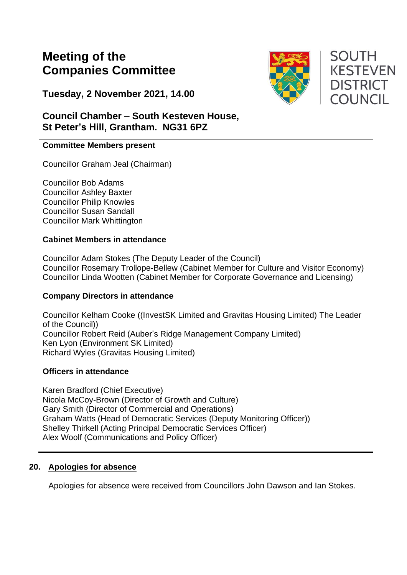# **Meeting of the Companies Committee**

**Tuesday, 2 November 2021, 14.00**



### **Committee Members present**

Councillor Graham Jeal (Chairman)

Councillor Bob Adams Councillor Ashley Baxter Councillor Philip Knowles Councillor Susan Sandall Councillor Mark Whittington

#### **Cabinet Members in attendance**

Councillor Adam Stokes (The Deputy Leader of the Council) Councillor Rosemary Trollope-Bellew (Cabinet Member for Culture and Visitor Economy) Councillor Linda Wootten (Cabinet Member for Corporate Governance and Licensing)

#### **Company Directors in attendance**

Councillor Kelham Cooke ((InvestSK Limited and Gravitas Housing Limited) The Leader of the Council)) Councillor Robert Reid (Auber's Ridge Management Company Limited) Ken Lyon (Environment SK Limited) Richard Wyles (Gravitas Housing Limited)

### **Officers in attendance**

Karen Bradford (Chief Executive) Nicola McCoy-Brown (Director of Growth and Culture) Gary Smith (Director of Commercial and Operations) Graham Watts (Head of Democratic Services (Deputy Monitoring Officer)) Shelley Thirkell (Acting Principal Democratic Services Officer) Alex Woolf (Communications and Policy Officer)

### **20. Apologies for absence**

Apologies for absence were received from Councillors John Dawson and Ian Stokes.



**SOUTH KESTEVEN DISTRICT COUNCIL**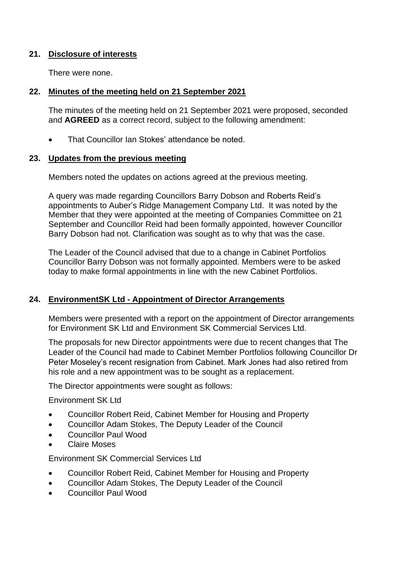### **21. Disclosure of interests**

There were none.

#### **22. Minutes of the meeting held on 21 September 2021**

The minutes of the meeting held on 21 September 2021 were proposed, seconded and **AGREED** as a correct record, subject to the following amendment:

• That Councillor Ian Stokes' attendance be noted.

#### **23. Updates from the previous meeting**

Members noted the updates on actions agreed at the previous meeting.

A query was made regarding Councillors Barry Dobson and Roberts Reid's appointments to Auber's Ridge Management Company Ltd. It was noted by the Member that they were appointed at the meeting of Companies Committee on 21 September and Councillor Reid had been formally appointed, however Councillor Barry Dobson had not. Clarification was sought as to why that was the case.

The Leader of the Council advised that due to a change in Cabinet Portfolios Councillor Barry Dobson was not formally appointed. Members were to be asked today to make formal appointments in line with the new Cabinet Portfolios.

#### **24. EnvironmentSK Ltd - Appointment of Director Arrangements**

Members were presented with a report on the appointment of Director arrangements for Environment SK Ltd and Environment SK Commercial Services Ltd.

The proposals for new Director appointments were due to recent changes that The Leader of the Council had made to Cabinet Member Portfolios following Councillor Dr Peter Moseley's recent resignation from Cabinet. Mark Jones had also retired from his role and a new appointment was to be sought as a replacement.

The Director appointments were sought as follows:

Environment SK Ltd

- Councillor Robert Reid, Cabinet Member for Housing and Property
- Councillor Adam Stokes, The Deputy Leader of the Council
- Councillor Paul Wood
- Claire Moses

Environment SK Commercial Services Ltd

- Councillor Robert Reid, Cabinet Member for Housing and Property
- Councillor Adam Stokes, The Deputy Leader of the Council
- Councillor Paul Wood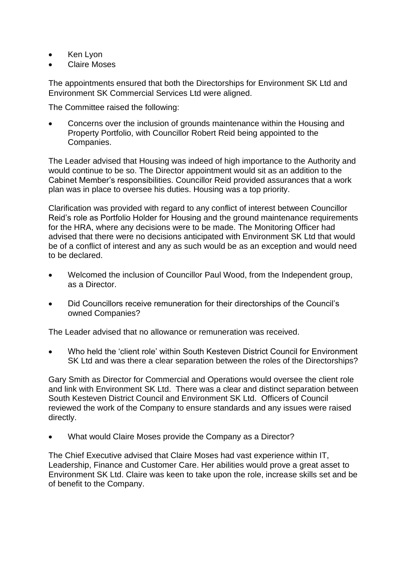- Ken Lyon
- Claire Moses

The appointments ensured that both the Directorships for Environment SK Ltd and Environment SK Commercial Services Ltd were aligned.

The Committee raised the following:

• Concerns over the inclusion of grounds maintenance within the Housing and Property Portfolio, with Councillor Robert Reid being appointed to the Companies.

The Leader advised that Housing was indeed of high importance to the Authority and would continue to be so. The Director appointment would sit as an addition to the Cabinet Member's responsibilities. Councillor Reid provided assurances that a work plan was in place to oversee his duties. Housing was a top priority.

Clarification was provided with regard to any conflict of interest between Councillor Reid's role as Portfolio Holder for Housing and the ground maintenance requirements for the HRA, where any decisions were to be made. The Monitoring Officer had advised that there were no decisions anticipated with Environment SK Ltd that would be of a conflict of interest and any as such would be as an exception and would need to be declared.

- Welcomed the inclusion of Councillor Paul Wood, from the Independent group, as a Director.
- Did Councillors receive remuneration for their directorships of the Council's owned Companies?

The Leader advised that no allowance or remuneration was received.

• Who held the 'client role' within South Kesteven District Council for Environment SK Ltd and was there a clear separation between the roles of the Directorships?

Gary Smith as Director for Commercial and Operations would oversee the client role and link with Environment SK Ltd. There was a clear and distinct separation between South Kesteven District Council and Environment SK Ltd. Officers of Council reviewed the work of the Company to ensure standards and any issues were raised directly.

• What would Claire Moses provide the Company as a Director?

The Chief Executive advised that Claire Moses had vast experience within IT, Leadership, Finance and Customer Care. Her abilities would prove a great asset to Environment SK Ltd. Claire was keen to take upon the role, increase skills set and be of benefit to the Company.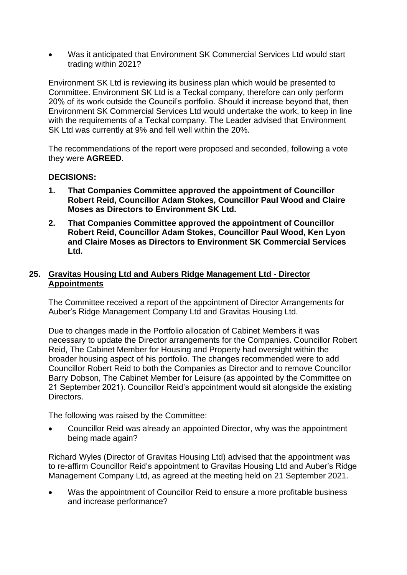• Was it anticipated that Environment SK Commercial Services Ltd would start trading within 2021?

Environment SK Ltd is reviewing its business plan which would be presented to Committee. Environment SK Ltd is a Teckal company, therefore can only perform 20% of its work outside the Council's portfolio. Should it increase beyond that, then Environment SK Commercial Services Ltd would undertake the work, to keep in line with the requirements of a Teckal company. The Leader advised that Environment SK Ltd was currently at 9% and fell well within the 20%.

The recommendations of the report were proposed and seconded, following a vote they were **AGREED**.

### **DECISIONS:**

- **1. That Companies Committee approved the appointment of Councillor Robert Reid, Councillor Adam Stokes, Councillor Paul Wood and Claire Moses as Directors to Environment SK Ltd.**
- **2. That Companies Committee approved the appointment of Councillor Robert Reid, Councillor Adam Stokes, Councillor Paul Wood, Ken Lyon and Claire Moses as Directors to Environment SK Commercial Services Ltd.**

### **25. Gravitas Housing Ltd and Aubers Ridge Management Ltd - Director Appointments**

The Committee received a report of the appointment of Director Arrangements for Auber's Ridge Management Company Ltd and Gravitas Housing Ltd.

Due to changes made in the Portfolio allocation of Cabinet Members it was necessary to update the Director arrangements for the Companies. Councillor Robert Reid, The Cabinet Member for Housing and Property had oversight within the broader housing aspect of his portfolio. The changes recommended were to add Councillor Robert Reid to both the Companies as Director and to remove Councillor Barry Dobson, The Cabinet Member for Leisure (as appointed by the Committee on 21 September 2021). Councillor Reid's appointment would sit alongside the existing Directors.

The following was raised by the Committee:

• Councillor Reid was already an appointed Director, why was the appointment being made again?

Richard Wyles (Director of Gravitas Housing Ltd) advised that the appointment was to re-affirm Councillor Reid's appointment to Gravitas Housing Ltd and Auber's Ridge Management Company Ltd, as agreed at the meeting held on 21 September 2021.

Was the appointment of Councillor Reid to ensure a more profitable business and increase performance?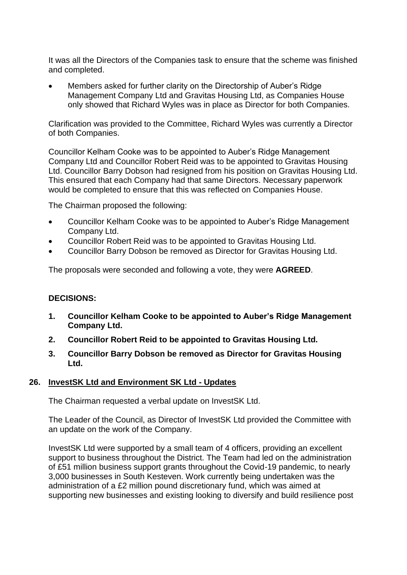It was all the Directors of the Companies task to ensure that the scheme was finished and completed.

• Members asked for further clarity on the Directorship of Auber's Ridge Management Company Ltd and Gravitas Housing Ltd, as Companies House only showed that Richard Wyles was in place as Director for both Companies.

Clarification was provided to the Committee, Richard Wyles was currently a Director of both Companies.

Councillor Kelham Cooke was to be appointed to Auber's Ridge Management Company Ltd and Councillor Robert Reid was to be appointed to Gravitas Housing Ltd. Councillor Barry Dobson had resigned from his position on Gravitas Housing Ltd. This ensured that each Company had that same Directors. Necessary paperwork would be completed to ensure that this was reflected on Companies House.

The Chairman proposed the following:

- Councillor Kelham Cooke was to be appointed to Auber's Ridge Management Company Ltd.
- Councillor Robert Reid was to be appointed to Gravitas Housing Ltd.
- Councillor Barry Dobson be removed as Director for Gravitas Housing Ltd.

The proposals were seconded and following a vote, they were **AGREED**.

#### **DECISIONS:**

- **1. Councillor Kelham Cooke to be appointed to Auber's Ridge Management Company Ltd.**
- **2. Councillor Robert Reid to be appointed to Gravitas Housing Ltd.**
- **3. Councillor Barry Dobson be removed as Director for Gravitas Housing Ltd.**

#### **26. InvestSK Ltd and Environment SK Ltd - Updates**

The Chairman requested a verbal update on InvestSK Ltd.

The Leader of the Council, as Director of InvestSK Ltd provided the Committee with an update on the work of the Company.

InvestSK Ltd were supported by a small team of 4 officers, providing an excellent support to business throughout the District. The Team had led on the administration of £51 million business support grants throughout the Covid-19 pandemic, to nearly 3,000 businesses in South Kesteven. Work currently being undertaken was the administration of a £2 million pound discretionary fund, which was aimed at supporting new businesses and existing looking to diversify and build resilience post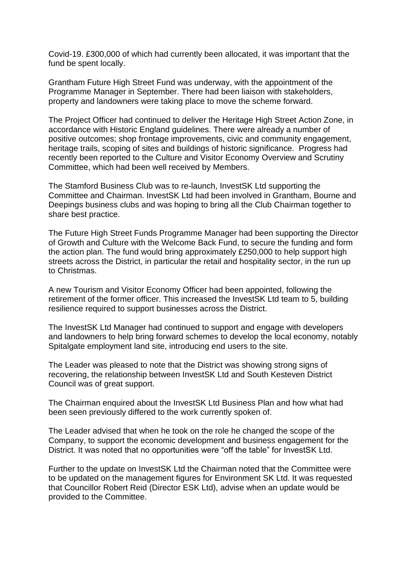Covid-19. £300,000 of which had currently been allocated, it was important that the fund be spent locally.

Grantham Future High Street Fund was underway, with the appointment of the Programme Manager in September. There had been liaison with stakeholders, property and landowners were taking place to move the scheme forward.

The Project Officer had continued to deliver the Heritage High Street Action Zone, in accordance with Historic England guidelines. There were already a number of positive outcomes; shop frontage improvements, civic and community engagement, heritage trails, scoping of sites and buildings of historic significance. Progress had recently been reported to the Culture and Visitor Economy Overview and Scrutiny Committee, which had been well received by Members.

The Stamford Business Club was to re-launch, InvestSK Ltd supporting the Committee and Chairman. InvestSK Ltd had been involved in Grantham, Bourne and Deepings business clubs and was hoping to bring all the Club Chairman together to share best practice.

The Future High Street Funds Programme Manager had been supporting the Director of Growth and Culture with the Welcome Back Fund, to secure the funding and form the action plan. The fund would bring approximately £250,000 to help support high streets across the District, in particular the retail and hospitality sector, in the run up to Christmas.

A new Tourism and Visitor Economy Officer had been appointed, following the retirement of the former officer. This increased the InvestSK Ltd team to 5, building resilience required to support businesses across the District.

The InvestSK Ltd Manager had continued to support and engage with developers and landowners to help bring forward schemes to develop the local economy, notably Spitalgate employment land site, introducing end users to the site.

The Leader was pleased to note that the District was showing strong signs of recovering, the relationship between InvestSK Ltd and South Kesteven District Council was of great support.

The Chairman enquired about the InvestSK Ltd Business Plan and how what had been seen previously differed to the work currently spoken of.

The Leader advised that when he took on the role he changed the scope of the Company, to support the economic development and business engagement for the District. It was noted that no opportunities were "off the table" for InvestSK Ltd.

Further to the update on InvestSK Ltd the Chairman noted that the Committee were to be updated on the management figures for Environment SK Ltd. It was requested that Councillor Robert Reid (Director ESK Ltd), advise when an update would be provided to the Committee.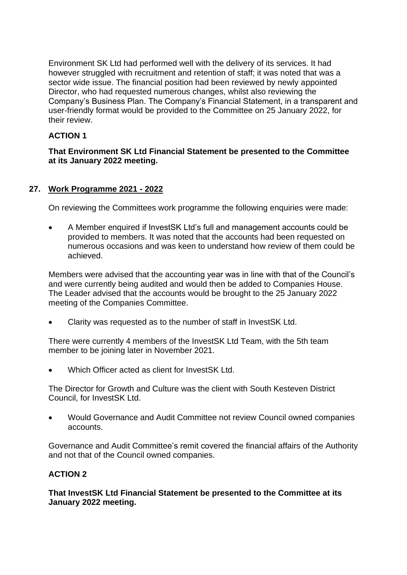Environment SK Ltd had performed well with the delivery of its services. It had however struggled with recruitment and retention of staff; it was noted that was a sector wide issue. The financial position had been reviewed by newly appointed Director, who had requested numerous changes, whilst also reviewing the Company's Business Plan. The Company's Financial Statement, in a transparent and user-friendly format would be provided to the Committee on 25 January 2022, for their review.

### **ACTION 1**

### **That Environment SK Ltd Financial Statement be presented to the Committee at its January 2022 meeting.**

### **27. Work Programme 2021 - 2022**

On reviewing the Committees work programme the following enquiries were made:

• A Member enquired if InvestSK Ltd's full and management accounts could be provided to members. It was noted that the accounts had been requested on numerous occasions and was keen to understand how review of them could be achieved.

Members were advised that the accounting year was in line with that of the Council's and were currently being audited and would then be added to Companies House. The Leader advised that the accounts would be brought to the 25 January 2022 meeting of the Companies Committee.

• Clarity was requested as to the number of staff in InvestSK Ltd.

There were currently 4 members of the InvestSK Ltd Team, with the 5th team member to be joining later in November 2021.

• Which Officer acted as client for InvestSK Ltd.

The Director for Growth and Culture was the client with South Kesteven District Council, for InvestSK Ltd.

• Would Governance and Audit Committee not review Council owned companies accounts.

Governance and Audit Committee's remit covered the financial affairs of the Authority and not that of the Council owned companies.

### **ACTION 2**

**That InvestSK Ltd Financial Statement be presented to the Committee at its January 2022 meeting.**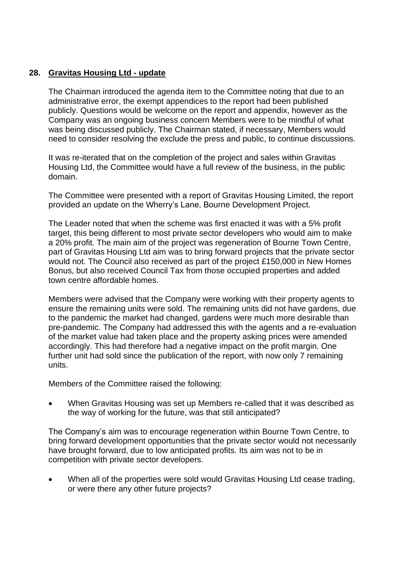### **28. Gravitas Housing Ltd - update**

The Chairman introduced the agenda item to the Committee noting that due to an administrative error, the exempt appendices to the report had been published publicly. Questions would be welcome on the report and appendix, however as the Company was an ongoing business concern Members were to be mindful of what was being discussed publicly. The Chairman stated, if necessary, Members would need to consider resolving the exclude the press and public, to continue discussions.

It was re-iterated that on the completion of the project and sales within Gravitas Housing Ltd, the Committee would have a full review of the business, in the public domain.

The Committee were presented with a report of Gravitas Housing Limited, the report provided an update on the Wherry's Lane, Bourne Development Project.

The Leader noted that when the scheme was first enacted it was with a 5% profit target, this being different to most private sector developers who would aim to make a 20% profit. The main aim of the project was regeneration of Bourne Town Centre, part of Gravitas Housing Ltd aim was to bring forward projects that the private sector would not. The Council also received as part of the project £150,000 in New Homes Bonus, but also received Council Tax from those occupied properties and added town centre affordable homes.

Members were advised that the Company were working with their property agents to ensure the remaining units were sold. The remaining units did not have gardens, due to the pandemic the market had changed, gardens were much more desirable than pre-pandemic. The Company had addressed this with the agents and a re-evaluation of the market value had taken place and the property asking prices were amended accordingly. This had therefore had a negative impact on the profit margin. One further unit had sold since the publication of the report, with now only 7 remaining units.

Members of the Committee raised the following:

• When Gravitas Housing was set up Members re-called that it was described as the way of working for the future, was that still anticipated?

The Company's aim was to encourage regeneration within Bourne Town Centre, to bring forward development opportunities that the private sector would not necessarily have brought forward, due to low anticipated profits. Its aim was not to be in competition with private sector developers.

When all of the properties were sold would Gravitas Housing Ltd cease trading, or were there any other future projects?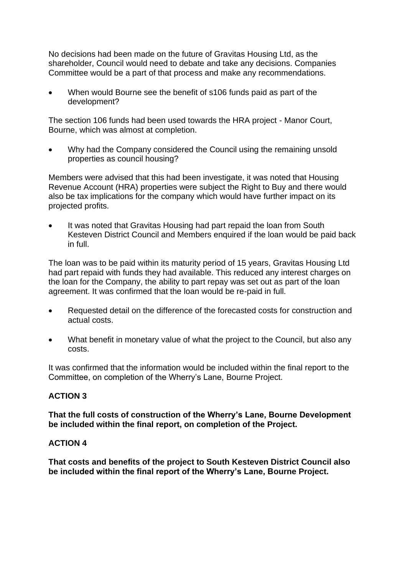No decisions had been made on the future of Gravitas Housing Ltd, as the shareholder, Council would need to debate and take any decisions. Companies Committee would be a part of that process and make any recommendations.

• When would Bourne see the benefit of s106 funds paid as part of the development?

The section 106 funds had been used towards the HRA project - Manor Court, Bourne, which was almost at completion.

• Why had the Company considered the Council using the remaining unsold properties as council housing?

Members were advised that this had been investigate, it was noted that Housing Revenue Account (HRA) properties were subject the Right to Buy and there would also be tax implications for the company which would have further impact on its projected profits.

It was noted that Gravitas Housing had part repaid the loan from South Kesteven District Council and Members enquired if the loan would be paid back in full.

The loan was to be paid within its maturity period of 15 years, Gravitas Housing Ltd had part repaid with funds they had available. This reduced any interest charges on the loan for the Company, the ability to part repay was set out as part of the loan agreement. It was confirmed that the loan would be re-paid in full.

- Requested detail on the difference of the forecasted costs for construction and actual costs.
- What benefit in monetary value of what the project to the Council, but also any costs.

It was confirmed that the information would be included within the final report to the Committee, on completion of the Wherry's Lane, Bourne Project.

### **ACTION 3**

**That the full costs of construction of the Wherry's Lane, Bourne Development be included within the final report, on completion of the Project.** 

### **ACTION 4**

**That costs and benefits of the project to South Kesteven District Council also be included within the final report of the Wherry's Lane, Bourne Project.**